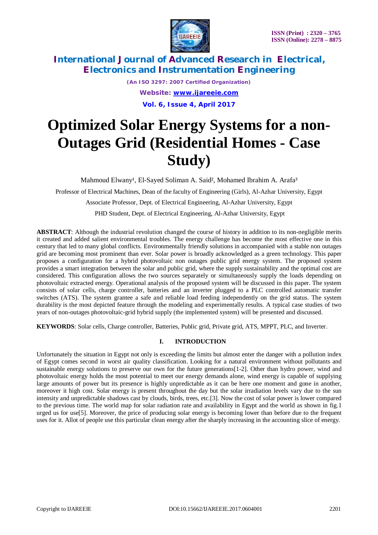

*(An ISO 3297: 2007 Certified Organization) Website: [www.ijareeie.com](http://www.ijareeie.com)* **Vol. 6, Issue 4, April 2017**

# **Optimized Solar Energy Systems for a non-Outages Grid (Residential Homes - Case Study)**

Mahmoud Elwany<sup>1</sup>, El-Sayed Soliman A. Said<sup>2</sup>, Mohamed Ibrahim A. Arafa<sup>3</sup>

Professor of Electrical Machines, Dean of the faculty of Engineering (Girls), Al-Azhar University, Egypt

Associate Professor, Dept. of Electrical Engineering, Al-Azhar University, Egypt

PHD Student, Dept. of Electrical Engineering, Al-Azhar University, Egypt

**ABSTRACT**: Although the industrial revolution changed the course of history in addition to its non-negligible merits it created and added salient environmental troubles. The energy challenge has become the most effective one in this century that led to many global conflicts. Environmentally friendly solutions in accompanied with a stable non outages grid are becoming most prominent than ever. Solar power is broadly acknowledged as a green technology. This paper proposes a configuration for a hybrid photovoltaic non outages public grid energy system. The proposed system provides a smart integration between the solar and public grid, where the supply sustainability and the optimal cost are considered. This configuration allows the two sources separately or simultaneously supply the loads depending on photovoltaic extracted energy. Operational analysis of the proposed system will be discussed in this paper. The system consists of solar cells, charge controller, batteries and an inverter plugged to a PLC controlled automatic transfer switches (ATS). The system grantee a safe and reliable load feeding independently on the grid status. The system durability is the most depicted feature through the modeling and experimentally results. A typical case studies of two years of non-outages photovoltaic-grid hybrid supply (the implemented system) will be presented and discussed.

**KEYWORDS**: Solar cells, Charge controller, Batteries, Public grid, Private grid, ATS, MPPT, PLC, and Inverter.

#### **I. INTRODUCTION**

Unfortunately the situation in Egypt not only is exceeding the limits but almost enter the danger with a pollution index of Egypt comes second in worst air quality classification. Looking for a natural environment without pollutants and sustainable energy solutions to preserve our own for the future generations[1-2]. Other than hydro power, wind and photovoltaic energy holds the most potential to meet our energy demands alone, wind energy is capable of supplying large amounts of power but its presence is highly unpredictable as it can be here one moment and gone in another, moreover it high cost. Solar energy is present throughout the day but the solar irradiation levels vary due to the sun intensity and unpredictable shadows cast by clouds, birds, trees, etc.[3]. Now the cost of solar power is lower compared to the previous time. The world map for solar radiation rate and availability in Egypt and the world as shown in fig.1 urged us for use[5]. Moreover, the price of producing solar energy is becoming lower than before due to the frequent uses for it. Allot of people use this particular clean energy after the sharply increasing in the accounting slice of energy.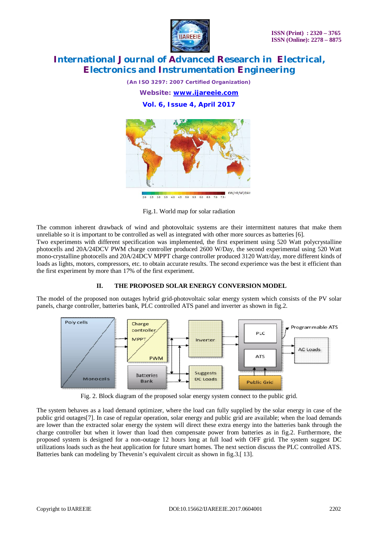

*(An ISO 3297: 2007 Certified Organization) Website: [www.ijareeie.com](http://www.ijareeie.com)* **Vol. 6, Issue 4, April 2017**



Fig.1. World map for solar radiation

The common inherent drawback of wind and photovoltaic systems are their intermittent natures that make them unreliable so it is important to be controlled as well as integrated with other more sources as batteries [6].

Two experiments with different specification was implemented, the first experiment using 520 Watt polycrystalline photocells and 20A/24DCV PWM charge controller produced 2600 W/Day, the second experimental using 520 Watt mono-crystalline photocells and 20A/24DCV MPPT charge controller produced 3120 Watt/day, more different kinds of loads as lights, motors, compressors, etc. to obtain accurate results. The second experience was the best it efficient than the first experiment by more than 17% of the first experiment.

### **II. THE PROPOSED SOLAR ENERGY CONVERSION MODEL**

The model of the proposed non outages hybrid grid-photovoltaic solar energy system which consists of the PV solar panels, charge controller, batteries bank, PLC controlled ATS panel and inverter as shown in fig.2.



Fig. 2. Block diagram of the proposed solar energy system connect to the public grid.

The system behaves as a load demand optimizer, where the load can fully supplied by the solar energy in case of the public grid outages[7]. In case of regular operation, solar energy and public grid are available; when the load demands are lower than the extracted solar energy the system will direct these extra energy into the batteries bank through the charge controller but when it lower than load then compensate power from batteries as in fig.2. Furthermore, the proposed system is designed for a non-outage 12 hours long at full load with OFF grid. The system suggest DC utilizations loads such as the heat application for future smart homes. The next section discuss the PLC controlled ATS. Batteries bank can modeling by Thevenin's equivalent circuit as shown in fig.3.[ 13].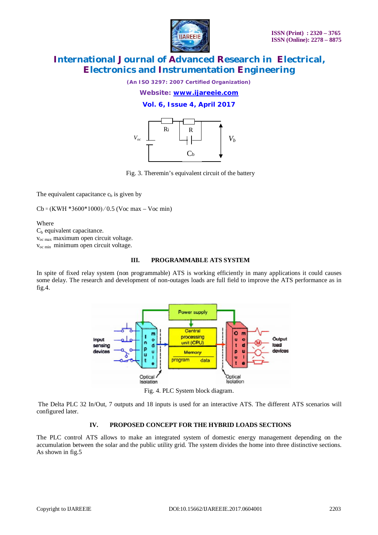

*(An ISO 3297: 2007 Certified Organization)*

*Website: [www.ijareeie.com](http://www.ijareeie.com)*

**Vol. 6, Issue 4, April 2017**



Fig. 3. Theremin's equivalent circuit of the battery

The equivalent capacitance  $c<sub>b</sub>$  is given by

 $Cb = (KWH * 3600 * 1000) / 0.5$  (Voc max – Voc min)

Where  $C_b$  equivalent capacitance. voc max maximum open circuit voltage. voc min minimum open circuit voltage.

#### **III. PROGRAMMABLE ATS SYSTEM**

In spite of fixed relay system (non programmable) ATS is working efficiently in many applications it could causes some delay. The research and development of non-outages loads are full field to improve the ATS performance as in fig.4.



Fig. 4. PLC System block diagram.

The Delta PLC 32 In/Out, 7 outputs and 18 inputs is used for an interactive ATS. The different ATS scenarios will configured later.

#### **IV. PROPOSED CONCEPT FOR THE HYBRID LOADS SECTIONS**

The PLC control ATS allows to make an integrated system of domestic energy management depending on the accumulation between the solar and the public utility grid. The system divides the home into three distinctive sections. As shown in fig.5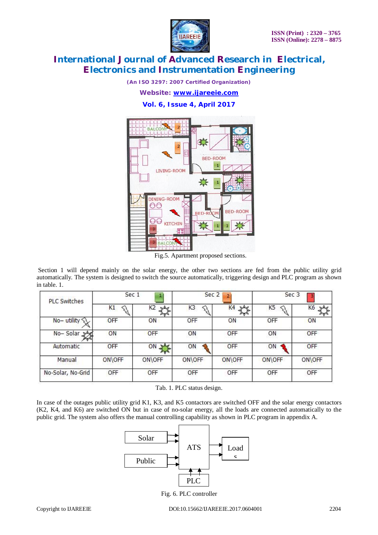

*(An ISO 3297: 2007 Certified Organization)*

*Website: [www.ijareeie.com](http://www.ijareeie.com)*

**Vol. 6, Issue 4, April 2017**



Fig.5. Apartment proposed sections.

Section 1 will depend mainly on the solar energy, the other two sections are fed from the public utility grid automatically. The system is designed to switch the source automatically, triggering design and PLC program as shown in table. 1.

| <b>PLC Switches</b> | Sec 1  |                       | Sec <sub>2</sub><br>$\overline{2}$ |        | Sec 3          |        |  |
|---------------------|--------|-----------------------|------------------------------------|--------|----------------|--------|--|
|                     | K1     | K <sub>2</sub><br>bAd | K <sub>3</sub>                     | K4     | K <sub>5</sub> | K6     |  |
| No-utility          | OFF    | ON                    | OFF                                | ON     | OFF            | ON     |  |
| No-Solar            | ON     | OFF                   | ON                                 | OFF    | ON             | OFF    |  |
| Automatic           | OFF    | ON                    | ON                                 | OFF    | ON             | OFF    |  |
| Manual              | ON\OFF | ON\OFF                | ON\OFF                             | ON\OFF | ON\OFF         | ON\OFF |  |
| No-Solar, No-Grid   | OFF    | OFF                   | OFF                                | OFF    | OFF            | OFF    |  |

Tab. 1. PLC status design.

In case of the outages public utility grid K1, K3, and K5 contactors are switched OFF and the solar energy contactors (K2, K4, and K6) are switched ON but in case of no-solar energy, all the loads are connected automatically to the public grid. The system also offers the manual controlling capability as shown in PLC program in appendix A.



Fig. 6. PLC controller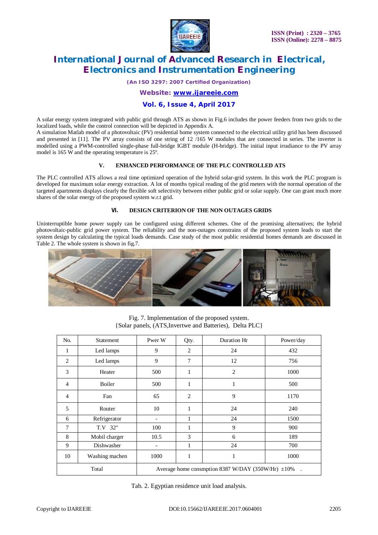

*(An ISO 3297: 2007 Certified Organization)*

*Website: [www.ijareeie.com](http://www.ijareeie.com)*

#### **Vol. 6, Issue 4, April 2017**

A solar energy system integrated with public grid through ATS as shown in Fig.6 includes the power feeders from two grids to the localized loads, while the control connection will be depicted in Appendix A.

A simulation Matlab model of a photovoltaic (PV) residential home system connected to the electrical utility grid has been discussed and presented in [11]. The PV array consists of one string of 12 /165 W modules that are connected in series. The inverter is modelled using a PWM-controlled single-phase full-bridge IGBT module (H-bridge). The initial input irradiance to the PV array model is 165 W and the operating temperature is 25º.

#### **V. ENHANCED PERFORMANCE OF THE PLC CONTROLLED ATS**

The PLC controlled ATS allows a real time optimized operation of the hybrid solar-grid system. In this work the PLC program is developed for maximum solar energy extraction. A lot of months typical reading of the grid meters with the normal operation of the targeted apartments displays clearly the flexible soft selectivity between either public grid or solar supply. One can grant much more shares of the solar energy of the proposed system w.r.t grid.

#### **VI. DESIGN CRITERION OF THE NON OUTAGES GRIDS**

Uninterruptible home power supply can be configured using different schemes. One of the promising alternatives; the hybrid photovoltaic-public grid power system. The reliability and the non-outages constrains of the proposed system leads to start the system design by calculating the typical loads demands. Case study of the most public residential homes demands are discussed in Table 2. The whole system is shown in fig.7.



Fig. 7. Implementation of the proposed system. {Solar panels, (ATS,Invertwe and Batteries), Delta PLC}

| No.            | Statement      | Pwer W                                                    | Qty.           | Duration Hr    | Power/day |  |  |
|----------------|----------------|-----------------------------------------------------------|----------------|----------------|-----------|--|--|
| 1              | Led lamps      | 9                                                         | $\overline{2}$ | 24             | 432       |  |  |
| $\overline{2}$ | Led lamps      | 9                                                         | 7              | 12             | 756       |  |  |
| 3              | Heater         | 500                                                       | 1              | $\overline{2}$ | 1000      |  |  |
| $\overline{4}$ | Boiler         | 500                                                       | $\mathbf{1}$   | 1              | 500       |  |  |
| $\overline{4}$ | Fan            | 65                                                        | $\overline{2}$ | 9              | 1170      |  |  |
| 5              | Router         | 10                                                        | 1              | 24             | 240       |  |  |
| 6              | Refrigerator   |                                                           | 1              | 24             | 1500      |  |  |
| 7              | T.V 32"        | 100                                                       | 1              | 9              | 900       |  |  |
| 8              | Mobil charger  | 10.5                                                      | 3              | 6              | 189       |  |  |
| 9              | Dishwasher     | ٠                                                         | 1              | 24             | 700       |  |  |
| 10             | Washing machen | 1000                                                      | 1              | 1              | 1000      |  |  |
| Total          |                | Average home consmption 8387 W/DAY (350W/Hr) $\pm 10\%$ . |                |                |           |  |  |

Tab. 2. Egyptian residence unit load analysis.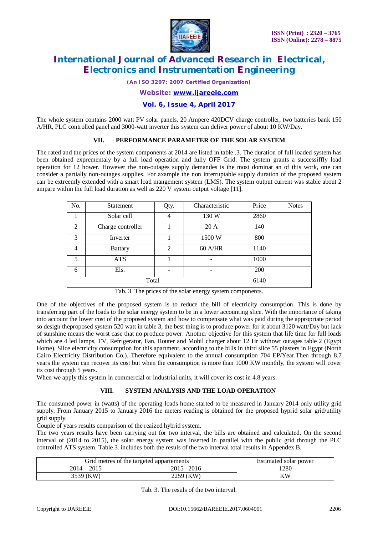

*(An ISO 3297: 2007 Certified Organization)*

#### *Website: [www.ijareeie.com](http://www.ijareeie.com)*

#### **Vol. 6, Issue 4, April 2017**

The whole system contains 2000 watt PV solar panels, 20 Ampere 420DCV charge controller, two batteries bank 150 A/HR, PLC controlled panel and 3000-watt inverter this system can deliver power of about 10 KW/Day.

#### **VII. PERFORMANCE PARAMETER OF THE SOLAR SYSTEM**

The rated and the prices of the system components at 2014 are listed in table .3. The duration of full loaded system has been obtained exprementaly by a full load operation and fully OFF Grid. The system grants a successiffly load operation for 12 hower. However the non-outages supply demandes is the most dominat an of this work, one can consider a partially non-outages supplies. For axample the non interruptable supply duration of the proposed system can be extreemly extended with a smart load mangement system (LMS). The system output current was stable about 2 ampare within the full load duration as well as 220 V system output voltage [11].

| No.            | <b>Statement</b>  | Characteristic<br>Qty.      |           | Price | <b>Notes</b> |
|----------------|-------------------|-----------------------------|-----------|-------|--------------|
|                | Solar cell        | 4                           | 130 W     | 2860  |              |
| $\overline{2}$ | Charge controller |                             | 20A       | 140   |              |
| 3              | Inverter          |                             | 1500 W    | 800   |              |
| 4              | <b>Battary</b>    | $\mathcal{D}_{\mathcal{A}}$ | $60$ A/HR | 1140  |              |
| 5              | <b>ATS</b>        |                             |           | 1000  |              |
| 6              | Els.              |                             |           | 200   |              |
|                | Total             | 6140                        |           |       |              |

Tab. 3. The prices of the solar energy system components.

One of the objectives of the proposed system is to reduce the bill of electricity consumption. This is done by transferring part of the loads to the solar energy system to be in a lower accounting slice. With the importance of taking into account the lower cost of the proposed system and how to compensate what was paid during the appropriate period so design theproposed system 520 watt in table 3, the best thing is to produce power for it about 3120 watt/Day but lack of sunshine means the worst case that no produce power. Another objective for this system that life time for full loads which are 4 led lamps, TV, Refrigerator, Fan, Router and Mobil charger about 12 Hr withowt outages table 2 (Egypt Home). Slice electricity consumption for this apartment, according to the bills in third slice 55 piasters in Egypt (North Cairo Electricity Distribution Co.). Therefore equivalent to the annual consumption 704 EP/Year.Then through 8.7 years the system can recover its cost but when the consumption is more than 1000 KW monthly, the system will cover its cost through 5 years.

When we apply this system in commercial or industrial units, it will cover its cost in 4.8 years.

#### **VIII. SYSTEM ANALYSIS AND THE LOAD OPERATION**

The consumed power in (watts) of the operating loads home started to be measured in January 2014 only utility grid supply. From January 2015 to January 2016 the meters reading is obtained for the proposed hyprid solar grid/utility grid supply.

Couple of years results comparison of the reaized hybrid system.

The two years results have been carrying out for two interval, the bills are obtained and calculated. On the second interval of (2014 to 2015), the solar energy system was inserted in parallel with the public grid through the PLC controlled ATS system. Table 3. includes both the resuls of the two interval total results in Appendex B.

| Grid metres of the targeted appartements | Estimated solar power |    |
|------------------------------------------|-----------------------|----|
| $2014 - 2015$                            | 1280                  |    |
| 3539 (KW)                                | 2259 (KW)             | ΚW |

Tab. 3. The resuls of the two interval.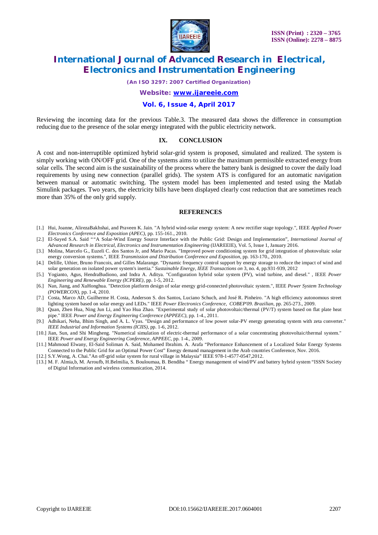

*(An ISO 3297: 2007 Certified Organization)*

*Website: [www.ijareeie.com](http://www.ijareeie.com)*

#### **Vol. 6, Issue 4, April 2017**

Reviewing the incoming data for the previous Table.3. The measured data shows the difference in consumption reducing due to the presence of the solar energy integrated with the public electricity network.

#### **IX. CONCLUSION**

A cost and non-interruptible optimized hybrid solar-grid system is proposed, simulated and realized. The system is simply working with ON/OFF grid. One of the systems aims to utilize the maximum permissible extracted energy from solar cells. The second aim is the sustainability of the process where the battery bank is designed to cover the daily load requirements by using new connection (parallel grids). The system ATS is configured for an automatic navigation between manual or automatic switching. The system model has been implemented and tested using the Matlab Simulink packages. Two years, the electricity bills have been displayed clearly cost reduction that are sometimes reach more than 35% of the only grid supply.

#### **REFERENCES**

- [1.] Hui, Joanne, AlirezaBakhshai, and Praveen K. Jain. "A hybrid wind-solar energy system: A new rectifier stage topology.", IEEE *Applied Power Electronics Conference and Exposition (APEC),* pp. 155-161., 2010.
- [2.] El-Sayed S.A. Said "*"*A Solar-Wind Energy Source Interface with the Public Grid: Design and Implementation", *International Journal of Advanced Research in Electrical, Electronics and Instrumentation Engineering* (IJAREEIE), Vol. 5, Issue 1, January 2016.
- [3.] Molina, Marcelo G., Euzeli C. dos Santos Jr, and Mario Pacas. "Improved power conditioning system for grid integration of photovoltaic solar energy conversion systems.", IEEE *Transmission and Distribution Conference and Exposition*, pp. 163-170., 2010.
- [4.] Delille, Uthier, Bruno Francois, and Gilles Malarange. "Dynamic frequency control support by energy storage to reduce the impact of wind and solar generation on isolated power system's inertia." *Sustainable Energy, IEEE Transactions on* 3, no. 4, pp.931-939, 2012
- [5.] Yogianto, Agus, HendraBudiono, and Indra A. Aditya. "Configuration hybrid solar system (PV), wind turbine, and diesel." , IEEE *Power Engineering and Renewable Energy (ICPERE),* pp. 1-5, 2012.
- [6.] Nan, Jiang, and XuHonghua. "Detection platform design of solar energy grid-connected photovoltaic system.", IEEE *Power System Technology (POWERCON)*, pp. 1-4, 2010.
- [7.] Costa, Marco AD, Guilherme H. Costa, Anderson S. dos Santos, Luciano Schuch, and José R. Pinheiro. "A high efficiency autonomous street lighting system based on solar energy and LEDs." IEEE *Power Electronics Conference, COBEP'09. Brazilian*, pp. 265-273., 2009.
- [8.] Quan, Zhen Hua, Ning Jun Li, and Yao Hua Zhao. "Experimental study of solar photovoltaic/thermal (PV/T) system based on flat plate heat pipe." IEEE *Power and Energy Engineering Conference (APPEEC),* pp. 1-4., 2011.
- [9.] Adhikari, Neha, Bhim Singh, and A. L. Vyas. "Design and performance of low power solar-PV energy generating system with zeta converter." *IEEE Industrial and Information Systems (ICIIS),* pp. 1-6, 2012.
- [10.] Jian, Sun, and Shi Mingheng. "Numerical simulation of electric-thermal performance of a solar concentrating photovoltaic/thermal system." IEEE *Power and Energy Engineering Conference, APPEEC*, pp. 1-4., 2009.
- [11.] Mahmoud Elwany, El-Said Soliman A. Said, Mohamed Ibrahim. A. Arafa "Performance Enhancement of a Localized Solar Energy Systems Connected to the Public Grid for an Optimal Power Cost" Energy demand management in the Arab countries Conference, Nov. 2016.
- [12.] S.Y.Wong, A. Chai."An off-grid solar system for rural village in Malaysia" IEEE 978-1-4577-0547,2012.
- [13.] M. F. Almia,b, M. Arroufb, H.Belmilia, S. Bouloumaa, B. Bendiba " Energy management of wind/PV and battery hybrid system "ISSN Society of Digital Information and wireless communication, 2014.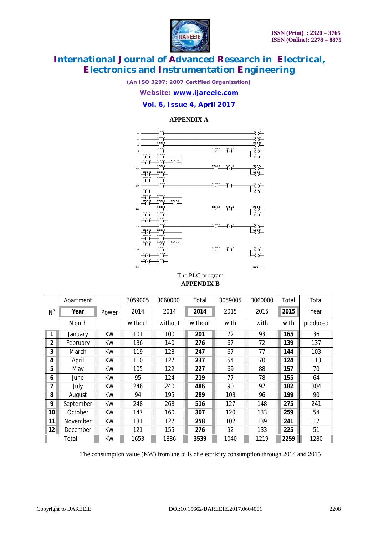

*(An ISO 3297: 2007 Certified Organization)*

*Website: [www.ijareeie.com](http://www.ijareeie.com)*

#### **Vol. 6, Issue 4, April 2017**

#### **APPENDIX A**



#### The PLC program **APPENDIX B**

| $N^{\circ}$             | Apartment | Power | 3059005 | 3060000 | Total   | 3059005 | 3060000 | Total | Total    |
|-------------------------|-----------|-------|---------|---------|---------|---------|---------|-------|----------|
|                         | Year      |       | 2014    | 2014    | 2014    | 2015    | 2015    | 2015  | Year     |
|                         | Month     |       | without | without | without | with    | with    | with  | produced |
| $\mathbf 1$             | January   | ΚW    | 101     | 100     | 201     | 72      | 93      | 165   | 36       |
| $\mathbf{2}$            | February  | KW    | 136     | 140     | 276     | 67      | 72      | 139   | 137      |
| 3                       | March     | ΚW    | 119     | 128     | 247     | 67      | 77      | 144   | 103      |
| 4                       | April     | ΚW    | 110     | 127     | 237     | 54      | 70      | 124   | 113      |
| 5                       | May       | ΚW    | 105     | 122     | 227     | 69      | 88      | 157   | 70       |
| 6                       | June      | ΚW    | 95      | 124     | 219     | 77      | 78      | 155   | 64       |
| $\overline{\mathbf{z}}$ | July      | ΚW    | 246     | 240     | 486     | 90      | 92      | 182   | 304      |
| 8                       | August    | ΚW    | 94      | 195     | 289     | 103     | 96      | 199   | 90       |
| 9                       | September | ΚW    | 248     | 268     | 516     | 127     | 148     | 275   | 241      |
| 10                      | October   | ΚW    | 147     | 160     | 307     | 120     | 133     | 259   | 54       |
| 11                      | November  | ΚW    | 131     | 127     | 258     | 102     | 139     | 241   | 17       |
| 12                      | December  | ΚW    | 121     | 155     | 276     | 92      | 133     | 225   | 51       |
|                         | Total     | КW    | 1653    | 1886    | 3539    | 1040    | 1219    | 2259  | 1280     |

The consumption value (KW) from the bills of electricity consumption through 2014 and 2015